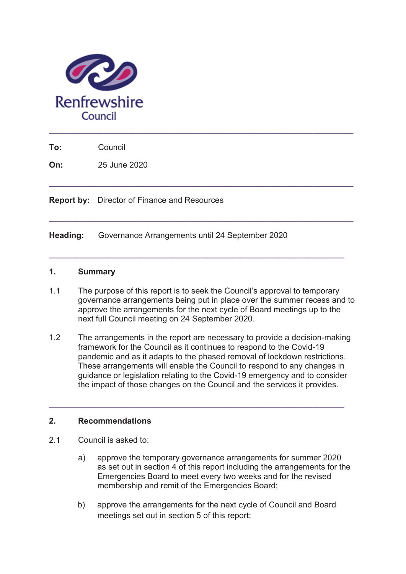

**To:** Council

**On:** 25 June 2020

**Report by:** Director of Finance and Resources

**Heading:** Governance Arrangements until 24 September 2020

#### **1. Summary**

1.1 The purpose of this report is to seek the Council's approval to temporary governance arrangements being put in place over the summer recess and to approve the arrangements for the next cycle of Board meetings up to the next full Council meeting on 24 September 2020.

**\_\_\_\_\_\_\_\_\_\_\_\_\_\_\_\_\_\_\_\_\_\_\_\_\_\_\_\_\_\_\_\_\_\_\_\_\_\_\_\_\_\_\_\_\_\_\_\_\_\_\_\_\_\_\_\_\_\_\_\_\_\_\_\_\_\_\_** 

**\_\_\_\_\_\_\_\_\_\_\_\_\_\_\_\_\_\_\_\_\_\_\_\_\_\_\_\_\_\_\_\_\_\_\_\_\_\_\_\_\_\_\_\_\_\_\_\_\_\_\_\_\_\_\_\_\_\_\_\_\_\_\_\_\_\_\_** 

**\_\_\_\_\_\_\_\_\_\_\_\_\_\_\_\_\_\_\_\_\_\_\_\_\_\_\_\_\_\_\_\_\_\_\_\_\_\_\_\_\_\_\_\_\_\_\_\_\_\_\_\_\_\_\_\_\_\_\_\_\_\_\_\_\_** 

1.2 The arrangements in the report are necessary to provide a decision-making framework for the Council as it continues to respond to the Covid-19 pandemic and as it adapts to the phased removal of lockdown restrictions. These arrangements will enable the Council to respond to any changes in guidance or legislation relating to the Covid-19 emergency and to consider the impact of those changes on the Council and the services it provides.

**\_\_\_\_\_\_\_\_\_\_\_\_\_\_\_\_\_\_\_\_\_\_\_\_\_\_\_\_\_\_\_\_\_\_\_\_\_\_\_\_\_\_\_\_\_\_\_\_\_\_\_\_\_\_\_\_\_\_\_\_\_\_\_\_\_** 

#### **2. Recommendations**

- 2.1 Council is asked to:
	- a) approve the temporary governance arrangements for summer 2020 as set out in section 4 of this report including the arrangements for the Emergencies Board to meet every two weeks and for the revised membership and remit of the Emergencies Board;
	- b) approve the arrangements for the next cycle of Council and Board meetings set out in section 5 of this report;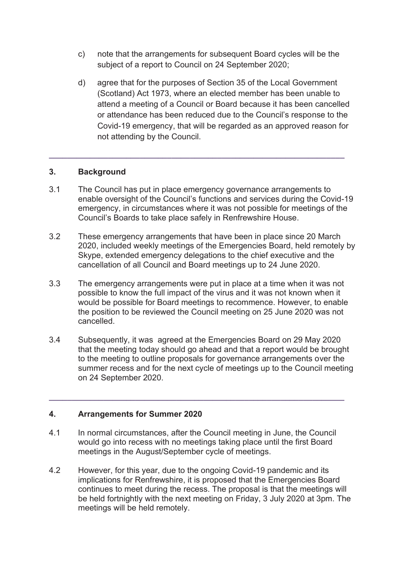- c) note that the arrangements for subsequent Board cycles will be the subject of a report to Council on 24 September 2020:
- d) agree that for the purposes of Section 35 of the Local Government (Scotland) Act 1973, where an elected member has been unable to attend a meeting of a Council or Board because it has been cancelled or attendance has been reduced due to the Council's response to the Covid-19 emergency, that will be regarded as an approved reason for not attending by the Council.

## **3. Background**

3.1 The Council has put in place emergency governance arrangements to enable oversight of the Council's functions and services during the Covid-19 emergency, in circumstances where it was not possible for meetings of the Council's Boards to take place safely in Renfrewshire House.

**\_\_\_\_\_\_\_\_\_\_\_\_\_\_\_\_\_\_\_\_\_\_\_\_\_\_\_\_\_\_\_\_\_\_\_\_\_\_\_\_\_\_\_\_\_\_\_\_\_\_\_\_\_\_\_\_\_\_\_\_\_\_\_\_\_** 

- 3.2 These emergency arrangements that have been in place since 20 March 2020, included weekly meetings of the Emergencies Board, held remotely by Skype, extended emergency delegations to the chief executive and the cancellation of all Council and Board meetings up to 24 June 2020.
- 3.3 The emergency arrangements were put in place at a time when it was not possible to know the full impact of the virus and it was not known when it would be possible for Board meetings to recommence. However, to enable the position to be reviewed the Council meeting on 25 June 2020 was not cancelled.
- 3.4 Subsequently, it was agreed at the Emergencies Board on 29 May 2020 that the meeting today should go ahead and that a report would be brought to the meeting to outline proposals for governance arrangements over the summer recess and for the next cycle of meetings up to the Council meeting on 24 September 2020.

**\_\_\_\_\_\_\_\_\_\_\_\_\_\_\_\_\_\_\_\_\_\_\_\_\_\_\_\_\_\_\_\_\_\_\_\_\_\_\_\_\_\_\_\_\_\_\_\_\_\_\_\_\_\_\_\_\_\_\_\_\_\_\_\_\_** 

# **4. Arrangements for Summer 2020**

- 4.1 In normal circumstances, after the Council meeting in June, the Council would go into recess with no meetings taking place until the first Board meetings in the August/September cycle of meetings.
- 4.2 However, for this year, due to the ongoing Covid-19 pandemic and its implications for Renfrewshire, it is proposed that the Emergencies Board continues to meet during the recess. The proposal is that the meetings will be held fortnightly with the next meeting on Friday, 3 July 2020 at 3pm. The meetings will be held remotely.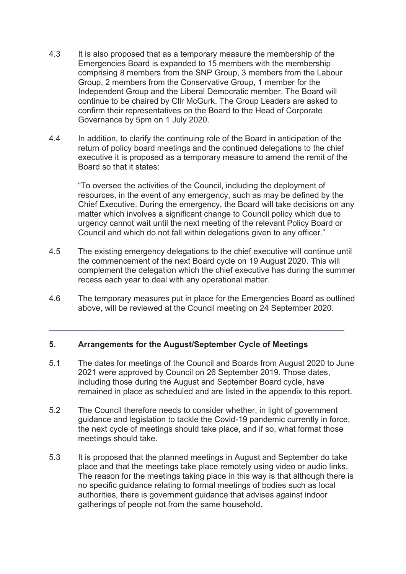- 4.3 It is also proposed that as a temporary measure the membership of the Emergencies Board is expanded to 15 members with the membership comprising 8 members from the SNP Group, 3 members from the Labour Group, 2 members from the Conservative Group, 1 member for the Independent Group and the Liberal Democratic member. The Board will continue to be chaired by Cllr McGurk. The Group Leaders are asked to confirm their representatives on the Board to the Head of Corporate Governance by 5pm on 1 July 2020.
- 4.4 In addition, to clarify the continuing role of the Board in anticipation of the return of policy board meetings and the continued delegations to the chief executive it is proposed as a temporary measure to amend the remit of the Board so that it states:

"To oversee the activities of the Council, including the deployment of resources, in the event of any emergency, such as may be defined by the Chief Executive. During the emergency, the Board will take decisions on any matter which involves a significant change to Council policy which due to urgency cannot wait until the next meeting of the relevant Policy Board or Council and which do not fall within delegations given to any officer."

- 4.5 The existing emergency delegations to the chief executive will continue until the commencement of the next Board cycle on 19 August 2020. This will complement the delegation which the chief executive has during the summer recess each year to deal with any operational matter.
- 4.6 The temporary measures put in place for the Emergencies Board as outlined above, will be reviewed at the Council meeting on 24 September 2020.

**\_\_\_\_\_\_\_\_\_\_\_\_\_\_\_\_\_\_\_\_\_\_\_\_\_\_\_\_\_\_\_\_\_\_\_\_\_\_\_\_\_\_\_\_\_\_\_\_\_\_\_\_\_\_\_\_\_\_\_\_\_\_\_\_\_** 

### **5. Arrangements for the August/September Cycle of Meetings**

- 5.1 The dates for meetings of the Council and Boards from August 2020 to June 2021 were approved by Council on 26 September 2019. Those dates, including those during the August and September Board cycle, have remained in place as scheduled and are listed in the appendix to this report.
- 5.2 The Council therefore needs to consider whether, in light of government guidance and legislation to tackle the Covid-19 pandemic currently in force, the next cycle of meetings should take place, and if so, what format those meetings should take.
- 5.3 It is proposed that the planned meetings in August and September do take place and that the meetings take place remotely using video or audio links. The reason for the meetings taking place in this way is that although there is no specific guidance relating to formal meetings of bodies such as local authorities, there is government guidance that advises against indoor gatherings of people not from the same household.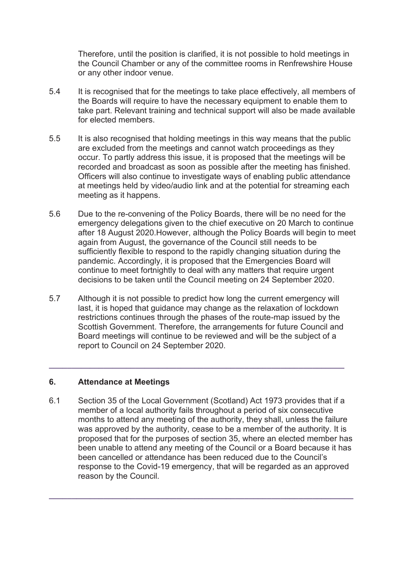Therefore, until the position is clarified, it is not possible to hold meetings in the Council Chamber or any of the committee rooms in Renfrewshire House or any other indoor venue.

- 5.4 It is recognised that for the meetings to take place effectively, all members of the Boards will require to have the necessary equipment to enable them to take part. Relevant training and technical support will also be made available for elected members.
- 5.5 It is also recognised that holding meetings in this way means that the public are excluded from the meetings and cannot watch proceedings as they occur. To partly address this issue, it is proposed that the meetings will be recorded and broadcast as soon as possible after the meeting has finished. Officers will also continue to investigate ways of enabling public attendance at meetings held by video/audio link and at the potential for streaming each meeting as it happens.
- 5.6 Due to the re-convening of the Policy Boards, there will be no need for the emergency delegations given to the chief executive on 20 March to continue after 18 August 2020.However, although the Policy Boards will begin to meet again from August, the governance of the Council still needs to be sufficiently flexible to respond to the rapidly changing situation during the pandemic. Accordingly, it is proposed that the Emergencies Board will continue to meet fortnightly to deal with any matters that require urgent decisions to be taken until the Council meeting on 24 September 2020.
- 5.7 Although it is not possible to predict how long the current emergency will last, it is hoped that guidance may change as the relaxation of lockdown restrictions continues through the phases of the route-map issued by the Scottish Government. Therefore, the arrangements for future Council and Board meetings will continue to be reviewed and will be the subject of a report to Council on 24 September 2020.

**\_\_\_\_\_\_\_\_\_\_\_\_\_\_\_\_\_\_\_\_\_\_\_\_\_\_\_\_\_\_\_\_\_\_\_\_\_\_\_\_\_\_\_\_\_\_\_\_\_\_\_\_\_\_\_\_\_\_\_\_\_\_\_\_\_** 

### **6. Attendance at Meetings**

6.1 Section 35 of the Local Government (Scotland) Act 1973 provides that if a member of a local authority fails throughout a period of six consecutive months to attend any meeting of the authority, they shall, unless the failure was approved by the authority, cease to be a member of the authority. It is proposed that for the purposes of section 35, where an elected member has been unable to attend any meeting of the Council or a Board because it has been cancelled or attendance has been reduced due to the Council's response to the Covid-19 emergency, that will be regarded as an approved reason by the Council.

**\_\_\_\_\_\_\_\_\_\_\_\_\_\_\_\_\_\_\_\_\_\_\_\_\_\_\_\_\_\_\_\_\_\_\_\_\_\_\_\_\_\_\_\_\_\_\_\_\_\_\_\_\_\_\_\_\_\_\_\_\_\_\_\_\_\_\_**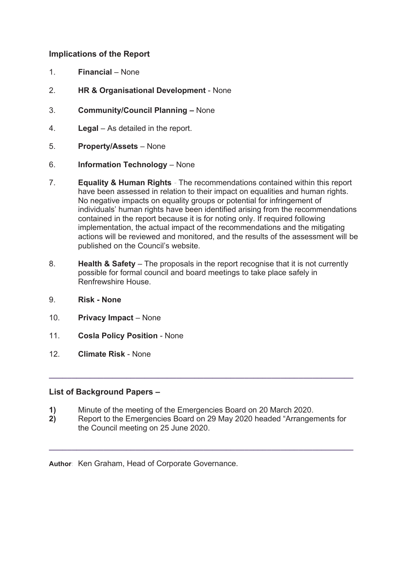### **Implications of the Report**

- 1. **Financial**  None
- 2. **HR & Organisational Development**  None
- 3. **Community/Council Planning –** None
- 4. **Legal**  As detailed in the report.
- 5. **Property/Assets**  None
- 6. **Information Technology**  None
- 7. **Equality & Human Rights** The recommendations contained within this report have been assessed in relation to their impact on equalities and human rights. No negative impacts on equality groups or potential for infringement of individuals' human rights have been identified arising from the recommendations contained in the report because it is for noting only. If required following implementation, the actual impact of the recommendations and the mitigating actions will be reviewed and monitored, and the results of the assessment will be published on the Council's website.
- 8. **Health & Safety**  The proposals in the report recognise that it is not currently possible for formal council and board meetings to take place safely in Renfrewshire House.
- 9. **Risk None**
- 10. **Privacy Impact**  None
- 11. **Cosla Policy Position**  None
- 12. **Climate Risk** None

### **List of Background Papers –**

- **1)** Minute of the meeting of the Emergencies Board on 20 March 2020.
- **2)** Report to the Emergencies Board on 29 May 2020 headed "Arrangements for the Council meeting on 25 June 2020.

**\_\_\_\_\_\_\_\_\_\_\_\_\_\_\_\_\_\_\_\_\_\_\_\_\_\_\_\_\_\_\_\_\_\_\_\_\_\_\_\_\_\_\_\_\_\_\_\_\_\_\_\_\_\_\_\_\_\_\_\_\_\_\_\_\_\_\_** 

**\_\_\_\_\_\_\_\_\_\_\_\_\_\_\_\_\_\_\_\_\_\_\_\_\_\_\_\_\_\_\_\_\_\_\_\_\_\_\_\_\_\_\_\_\_\_\_\_\_\_\_\_\_\_\_\_\_\_\_\_\_\_\_\_\_\_\_** 

**Author**: Ken Graham, Head of Corporate Governance.